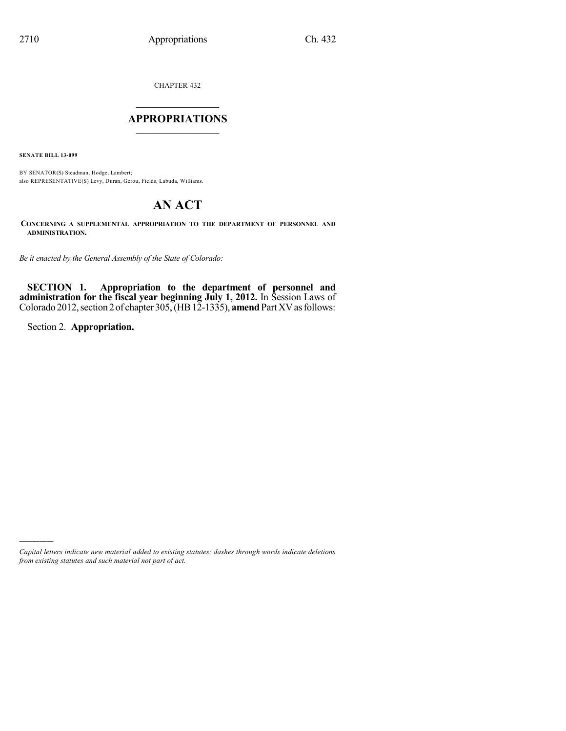CHAPTER 432

## $\overline{\phantom{a}}$  . The set of the set of the set of the set of the set of the set of the set of the set of the set of the set of the set of the set of the set of the set of the set of the set of the set of the set of the set o **APPROPRIATIONS**  $\_$   $\_$   $\_$   $\_$   $\_$   $\_$   $\_$   $\_$

**SENATE BILL 13-099**

BY SENATOR(S) Steadman, Hodge, Lambert; also REPRESENTATIVE(S) Levy, Duran, Gerou, Fields, Labuda, Williams.

# **AN ACT**

**CONCERNING A SUPPLEMENTAL APPROPRIATION TO THE DEPARTMENT OF PERSONNEL AND ADMINISTRATION.**

*Be it enacted by the General Assembly of the State of Colorado:*

**SECTION 1. Appropriation to the department of personnel and administration for the fiscal year beginning July 1, 2012.** In Session Laws of Colorado 2012, section 2 of chapter 305, (HB 12-1335), **amend** Part XV as follows:

Section 2. **Appropriation.**

)))))

*Capital letters indicate new material added to existing statutes; dashes through words indicate deletions from existing statutes and such material not part of act.*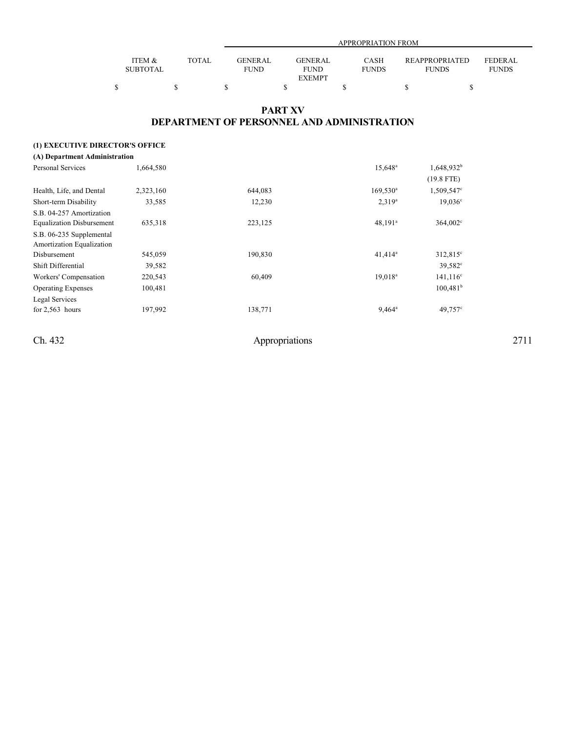|                 |              |             | APPROPRIATION FROM |              |                       |              |  |  |
|-----------------|--------------|-------------|--------------------|--------------|-----------------------|--------------|--|--|
|                 |              |             |                    |              |                       |              |  |  |
| ITEM &          | <b>TOTAL</b> | GENERAL     | <b>GENERAL</b>     | <b>CASH</b>  | <b>REAPPROPRIATED</b> | FEDERAL      |  |  |
| <b>SUBTOTAL</b> |              | <b>FUND</b> | <b>FUND</b>        | <b>FUNDS</b> | <b>FUNDS</b>          | <b>FUNDS</b> |  |  |
|                 |              |             | <b>EXEMPT</b>      |              |                       |              |  |  |
|                 |              |             |                    |              |                       |              |  |  |

## **PART XV DEPARTMENT OF PERSONNEL AND ADMINISTRATION**

## **(1) EXECUTIVE DIRECTOR'S OFFICE**

| (A) Department Administration    |           |         |                     |                      |
|----------------------------------|-----------|---------|---------------------|----------------------|
| Personal Services                | 1,664,580 |         | 15,648 <sup>a</sup> | $1,648,932^b$        |
|                                  |           |         |                     | $(19.8$ FTE)         |
| Health, Life, and Dental         | 2,323,160 | 644.083 | $169,530^a$         | $1,509,547^{\circ}$  |
| Short-term Disability            | 33,585    | 12,230  | $2,319^a$           | 19.036c              |
| S.B. 04-257 Amortization         |           |         |                     |                      |
| <b>Equalization Disbursement</b> | 635,318   | 223,125 | $48,191^a$          | 364,002 <sup>c</sup> |
| S.B. 06-235 Supplemental         |           |         |                     |                      |
| Amortization Equalization        |           |         |                     |                      |
| Disbursement                     | 545,059   | 190,830 | $41,414^a$          | $312,815^{\circ}$    |
| Shift Differential               | 39,582    |         |                     | 39,582 <sup>c</sup>  |
| Workers' Compensation            | 220,543   | 60,409  | 19,018 <sup>a</sup> | $141,116^c$          |
| <b>Operating Expenses</b>        | 100,481   |         |                     | 100.481 <sup>b</sup> |
| Legal Services                   |           |         |                     |                      |
| for $2,563$ hours                | 197,992   | 138,771 | $9,464^a$           | 49,757 <sup>c</sup>  |
|                                  |           |         |                     |                      |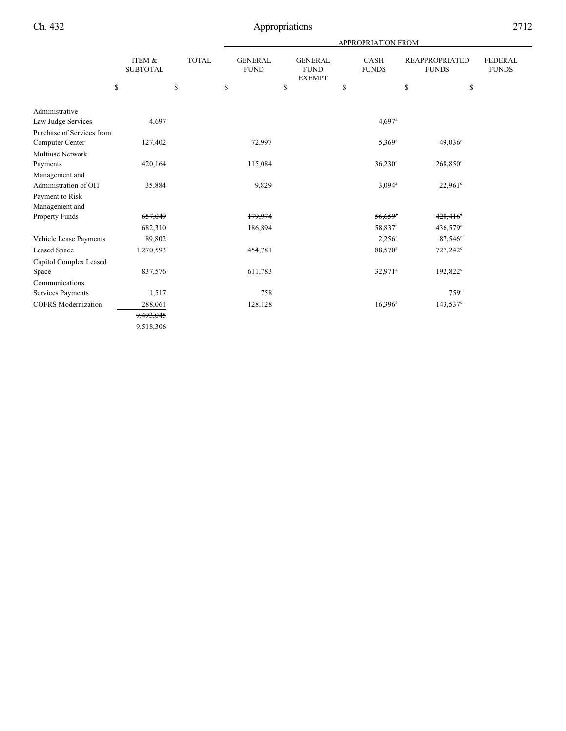|                                         |                           |              |                               |                                                | APPROPRIATION FROM    |                                       |                                |
|-----------------------------------------|---------------------------|--------------|-------------------------------|------------------------------------------------|-----------------------|---------------------------------------|--------------------------------|
|                                         | ITEM &<br><b>SUBTOTAL</b> | <b>TOTAL</b> | <b>GENERAL</b><br><b>FUND</b> | <b>GENERAL</b><br><b>FUND</b><br><b>EXEMPT</b> | CASH<br><b>FUNDS</b>  | <b>REAPPROPRIATED</b><br><b>FUNDS</b> | <b>FEDERAL</b><br><b>FUNDS</b> |
|                                         | \$                        | \$           | \$                            | \$                                             | \$                    | \$<br>\$                              |                                |
| Administrative                          |                           |              |                               |                                                |                       |                                       |                                |
| Law Judge Services                      | 4,697                     |              |                               |                                                | $4,697$ <sup>a</sup>  |                                       |                                |
| Purchase of Services from               |                           |              |                               |                                                |                       |                                       |                                |
| Computer Center                         | 127,402                   |              | 72,997                        |                                                | $5,369^{\rm a}$       | $49,036^{\circ}$                      |                                |
| <b>Multiuse Network</b>                 |                           |              |                               |                                                |                       |                                       |                                |
| Payments                                | 420,164                   |              | 115,084                       |                                                | $36,230$ <sup>a</sup> | $268,850^{\circ}$                     |                                |
| Management and<br>Administration of OIT | 35,884                    |              | 9,829                         |                                                | $3,094^a$             | 22.961°                               |                                |
| Payment to Risk                         |                           |              |                               |                                                |                       |                                       |                                |
| Management and                          |                           |              |                               |                                                |                       |                                       |                                |
| Property Funds                          | 657,049                   |              | 179,974                       |                                                | $56,659$ <sup>a</sup> | $420,416^\circ$                       |                                |
|                                         | 682,310                   |              | 186,894                       |                                                | 58,837 <sup>a</sup>   | $436,579^{\circ}$                     |                                |
| Vehicle Lease Payments                  | 89,802                    |              |                               |                                                | $2,256^a$             | $87,546^{\circ}$                      |                                |
| <b>Leased Space</b>                     | 1,270,593                 |              | 454,781                       |                                                | 88,570 <sup>a</sup>   | $727,242^{\circ}$                     |                                |
| Capitol Complex Leased                  |                           |              |                               |                                                |                       |                                       |                                |
| Space                                   | 837,576                   |              | 611,783                       |                                                | 32,971 <sup>a</sup>   | 192,822 <sup>c</sup>                  |                                |
| Communications                          |                           |              |                               |                                                |                       |                                       |                                |
| Services Payments                       | 1,517                     |              | 758                           |                                                |                       | 759 <sup>c</sup>                      |                                |
| <b>COFRS</b> Modernization              | 288,061                   |              | 128,128                       |                                                | $16,396^a$            | 143,537 <sup>c</sup>                  |                                |
|                                         | 9,493,045                 |              |                               |                                                |                       |                                       |                                |
|                                         | 9,518,306                 |              |                               |                                                |                       |                                       |                                |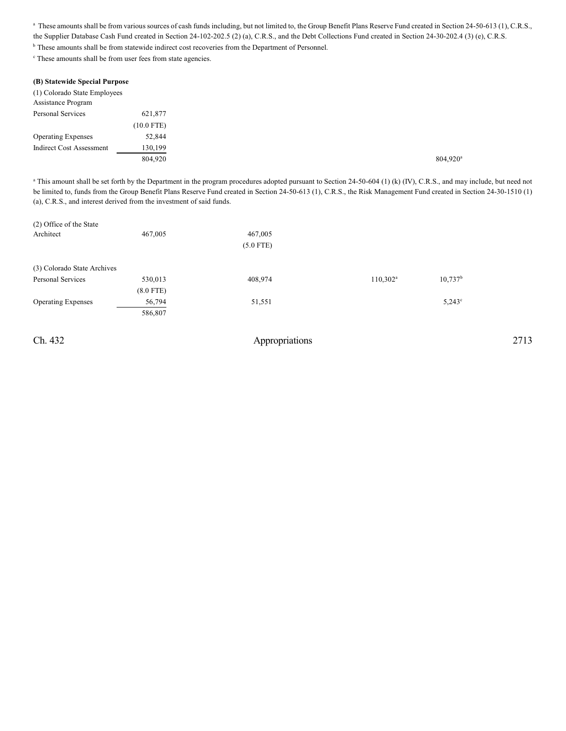<sup>a</sup> These amounts shall be from various sources of cash funds including, but not limited to, the Group Benefit Plans Reserve Fund created in Section 24-50-613 (1), C.R.S., the Supplier Database Cash Fund created in Section 24-102-202.5 (2) (a), C.R.S., and the Debt Collections Fund created in Section 24-30-202.4 (3) (e), C.R.S.

<sup>b</sup> These amounts shall be from statewide indirect cost recoveries from the Department of Personnel.

 $\degree$  These amounts shall be from user fees from state agencies.

| (B) Statewide Special Purpose   |              |
|---------------------------------|--------------|
| (1) Colorado State Employees    |              |
| <b>Assistance Program</b>       |              |
| <b>Personal Services</b>        | 621,877      |
|                                 | $(10.0$ FTE) |
| <b>Operating Expenses</b>       | 52,844       |
| <b>Indirect Cost Assessment</b> | 130,199      |
|                                 | 804,920      |

<sup>a</sup> This amount shall be set forth by the Department in the program procedures adopted pursuant to Section 24-50-604 (1) (k) (IV), C.R.S., and may include, but need not be limited to, funds from the Group Benefit Plans Reserve Fund created in Section 24-50-613 (1), C.R.S., the Risk Management Fund created in Section 24-30-1510 (1) (a), C.R.S., and interest derived from the investment of said funds.

| (2) Office of the State     |             |             |                   |                 |
|-----------------------------|-------------|-------------|-------------------|-----------------|
| Architect                   | 467,005     | 467,005     |                   |                 |
|                             |             | $(5.0$ FTE) |                   |                 |
| (3) Colorado State Archives |             |             |                   |                 |
| Personal Services           | 530,013     | 408,974     | $110,302^{\rm a}$ | $10,737^b$      |
|                             | $(8.0$ FTE) |             |                   |                 |
| <b>Operating Expenses</b>   | 56,794      | 51,551      |                   | $5.243^{\circ}$ |
|                             | 586,807     |             |                   |                 |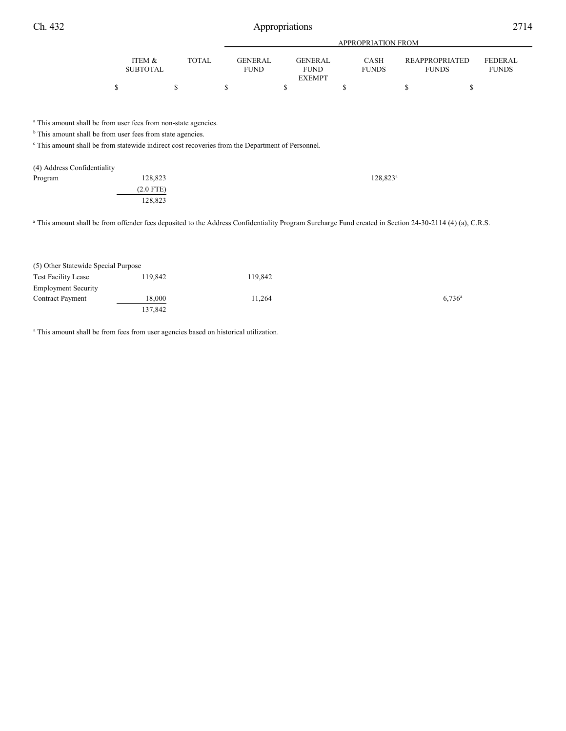$\begin{array}{ccccccccccc} \texttt{S} & \texttt{S} & \texttt{S} & \texttt{S} & \texttt{S} & \texttt{S} & \texttt{S} & \texttt{S} & \texttt{S} & \texttt{S} & \texttt{S} & \texttt{S} & \texttt{S} & \texttt{S} & \texttt{S} & \texttt{S} & \texttt{S} & \texttt{S} & \texttt{S} & \texttt{S} & \texttt{S} & \texttt{S} & \texttt{S} & \texttt{S} & \texttt{S} & \texttt{S} & \texttt{S} & \texttt{S} & \texttt{S} & \texttt{S} & \$ 

GENERAL FUND EXEMPT

FUNDS

| Ch. 432 |        | Appropriations |                    |                |      |                | 2714           |  |
|---------|--------|----------------|--------------------|----------------|------|----------------|----------------|--|
|         |        |                | APPROPRIATION FROM |                |      |                |                |  |
|         | ITEM & | <b>TOTAL</b>   | <b>GENERAL</b>     | <b>GENERAL</b> | CASH | REAPPROPRIATED | <b>FEDERAL</b> |  |

FUNDS

 $^{\circ}$  This amount shall be from user fees from non-state agencies.

ITEM & SUBTOTAL

 $<sup>b</sup>$  This amount shall be from user fees from state agencies.</sup>

<sup>c</sup> This amount shall be from statewide indirect cost recoveries from the Department of Personnel.

| 128,823     | $128,823^a$ |
|-------------|-------------|
| $(2.0$ FTE) |             |
| 128,823     |             |
|             |             |

FUND

TOTAL GENERAL

<sup>a</sup> This amount shall be from offender fees deposited to the Address Confidentiality Program Surcharge Fund created in Section 24-30-2114 (4) (a), C.R.S.

| (5) Other Statewide Special Purpose |         |         |           |
|-------------------------------------|---------|---------|-----------|
| Test Facility Lease                 | 119.842 | 119.842 |           |
| <b>Employment Security</b>          |         |         |           |
| <b>Contract Payment</b>             | 18,000  | 11.264  | $6.736^a$ |
|                                     | 137.842 |         |           |

<sup>a</sup> This amount shall be from fees from user agencies based on historical utilization.

FUNDS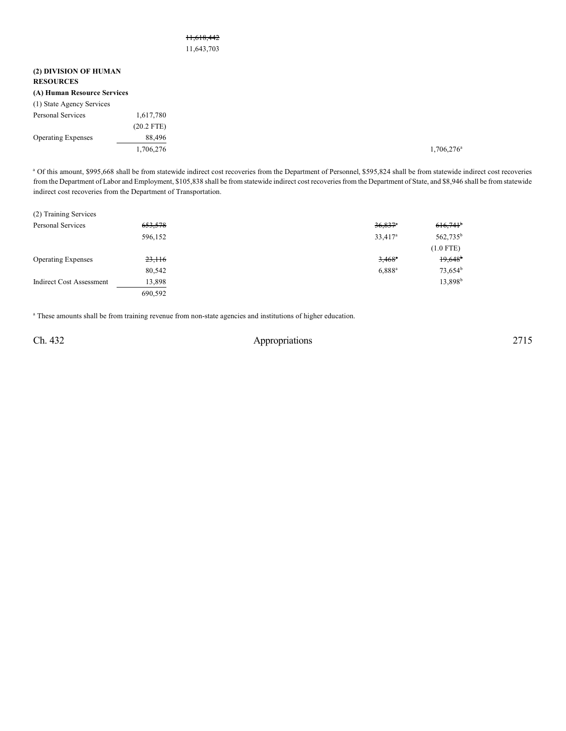## 11,618,442 11,643,703

| (2) DIVISION OF HUMAN<br><b>RESOURCES</b> |              |
|-------------------------------------------|--------------|
| (A) Human Resource Services               |              |
| (1) State Agency Services                 |              |
| Personal Services                         | 1,617,780    |
|                                           | $(20.2$ FTE) |
| <b>Operating Expenses</b>                 | 88,496       |
|                                           | 1,706,276    |

a Of this amount, \$995,668 shall be from statewide indirect cost recoveries from the Department of Personnel, \$595,824 shall be from statewide indirect cost recoveries from the Department of Labor and Employment, \$105,838 shall be from statewide indirect cost recoveries from the Department of State, and \$8,946 shall be from statewide indirect cost recoveries from the Department of Transportation.

| (2) Training Services     |         |                       |                        |
|---------------------------|---------|-----------------------|------------------------|
| <b>Personal Services</b>  | 653,578 | $36,837$ <sup>n</sup> | $616,741$ <sup>b</sup> |
|                           | 596,152 | 33,417 <sup>a</sup>   | $562,735^{\rm b}$      |
|                           |         |                       | $(1.0$ FTE)            |
| <b>Operating Expenses</b> | 23,116  | $3,468^{\circ}$       | 19,648                 |
|                           | 80,542  | $6,888^a$             | $73,654^b$             |
| Indirect Cost Assessment  | 13,898  |                       | 13,898 <sup>b</sup>    |
|                           | 690.592 |                       |                        |

<sup>a</sup> These amounts shall be from training revenue from non-state agencies and institutions of higher education.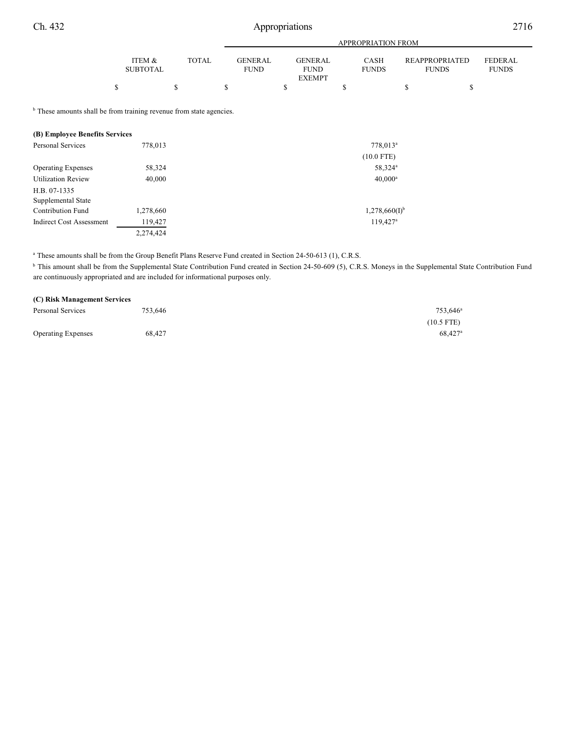# Ch. 432 Appropriations 2716

|                                                                                                                  |                           |              |                               |                                                | APPROPRIATION FROM          |                                       |                                |
|------------------------------------------------------------------------------------------------------------------|---------------------------|--------------|-------------------------------|------------------------------------------------|-----------------------------|---------------------------------------|--------------------------------|
|                                                                                                                  | ITEM &<br><b>SUBTOTAL</b> | <b>TOTAL</b> | <b>GENERAL</b><br><b>FUND</b> | <b>GENERAL</b><br><b>FUND</b><br><b>EXEMPT</b> | <b>CASH</b><br><b>FUNDS</b> | <b>REAPPROPRIATED</b><br><b>FUNDS</b> | <b>FEDERAL</b><br><b>FUNDS</b> |
|                                                                                                                  | \$                        | \$           | S                             | \$                                             | \$                          | \$<br>\$                              |                                |
| <sup>b</sup> These amounts shall be from training revenue from state agencies.<br>(B) Employee Benefits Services |                           |              |                               |                                                |                             |                                       |                                |
| Personal Services                                                                                                | 778,013                   |              |                               |                                                | 778,013 <sup>a</sup>        |                                       |                                |
|                                                                                                                  |                           |              |                               |                                                | $(10.0$ FTE)                |                                       |                                |
| <b>Operating Expenses</b>                                                                                        | 58,324                    |              |                               |                                                | 58,324 <sup>a</sup>         |                                       |                                |
| <b>Utilization Review</b>                                                                                        | 40,000                    |              |                               |                                                | $40,000^a$                  |                                       |                                |
| H.B. 07-1335<br>Supplemental State                                                                               |                           |              |                               |                                                |                             |                                       |                                |
| Contribution Fund                                                                                                | 1,278,660                 |              |                               |                                                | $1,278,660(I)^{b}$          |                                       |                                |
| <b>Indirect Cost Assessment</b>                                                                                  | 119,427                   |              |                               |                                                | $119,427$ <sup>a</sup>      |                                       |                                |
|                                                                                                                  | 2,274,424                 |              |                               |                                                |                             |                                       |                                |

<sup>a</sup> These amounts shall be from the Group Benefit Plans Reserve Fund created in Section 24-50-613 (1), C.R.S.

<sup>b</sup> This amount shall be from the Supplemental State Contribution Fund created in Section 24-50-609 (5), C.R.S. Moneys in the Supplemental State Contribution Fund are continuously appropriated and are included for informational purposes only.

| (C) Risk Management Services |         |                      |
|------------------------------|---------|----------------------|
| Personal Services            | 753.646 | 753.646 <sup>a</sup> |
|                              |         | $(10.5$ FTE)         |
| <b>Operating Expenses</b>    | 68.427  | 68.427 <sup>a</sup>  |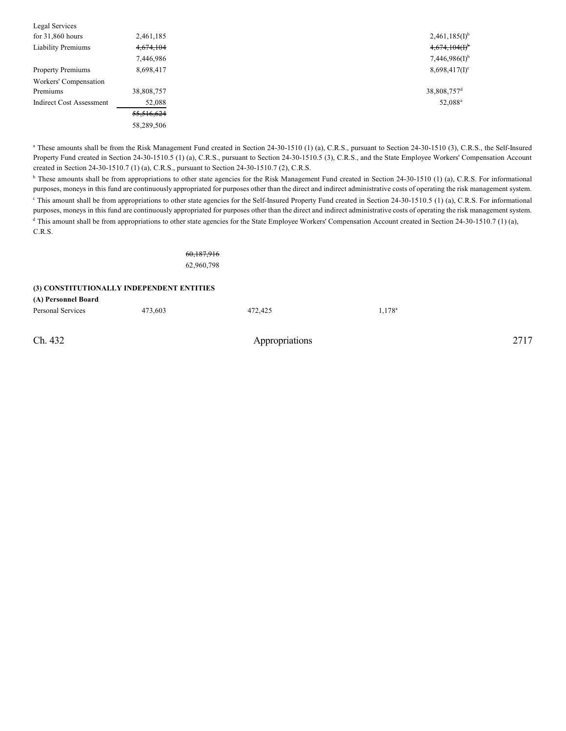| Legal Services                  |            |                             |
|---------------------------------|------------|-----------------------------|
| for $31,860$ hours              | 2,461,185  | $2,461,185(I)^{b}$          |
| <b>Liability Premiums</b>       | 4,674,104  | $4,674,104(f)$ <sup>b</sup> |
|                                 | 7,446,986  | 7,446,986(I) <sup>b</sup>   |
| <b>Property Premiums</b>        | 8,698,417  | $8,698,417(1)^c$            |
| Workers' Compensation           |            |                             |
| Premiums                        | 38,808,757 | 38,808,757 <sup>d</sup>     |
| <b>Indirect Cost Assessment</b> | 52,088     | 52,088 <sup>a</sup>         |
|                                 | 55,516,624 |                             |
|                                 | 58,289,506 |                             |
|                                 |            |                             |

<sup>a</sup> These amounts shall be from the Risk Management Fund created in Section 24-30-1510 (1) (a), C.R.S., pursuant to Section 24-30-1510 (3), C.R.S., the Self-Insured Property Fund created in Section 24-30-1510.5 (1) (a), C.R.S., pursuant to Section 24-30-1510.5 (3), C.R.S., and the State Employee Workers' Compensation Account created in Section 24-30-1510.7 (1) (a), C.R.S., pursuant to Section 24-30-1510.7 (2), C.R.S.

<sup>b</sup> These amounts shall be from appropriations to other state agencies for the Risk Management Fund created in Section 24-30-1510 (1) (a), C.R.S. For informational purposes, moneys in this fund are continuously appropriated for purposes other than the direct and indirect administrative costs of operating the risk management system. This amount shall be from appropriations to other state agencies for the Self-Insured Property Fund created in Section  $24-30-1510.5$  (1) (a), C.R.S. For informational purposes, moneys in this fund are continuously appropriated for purposes other than the direct and indirect administrative costs of operating the risk management system. <sup>d</sup> This amount shall be from appropriations to other state agencies for the State Employee Workers' Compensation Account created in Section 24-30-1510.7 (1) (a), C.R.S.

> 60,187,916 62,960,798

#### **(3) CONSTITUTIONALLY INDEPENDENT ENTITIES**

**(A) Personnel Board**

| Personal Services | 473,603 | 472,425 | $1,178^a$ |
|-------------------|---------|---------|-----------|
|                   |         |         |           |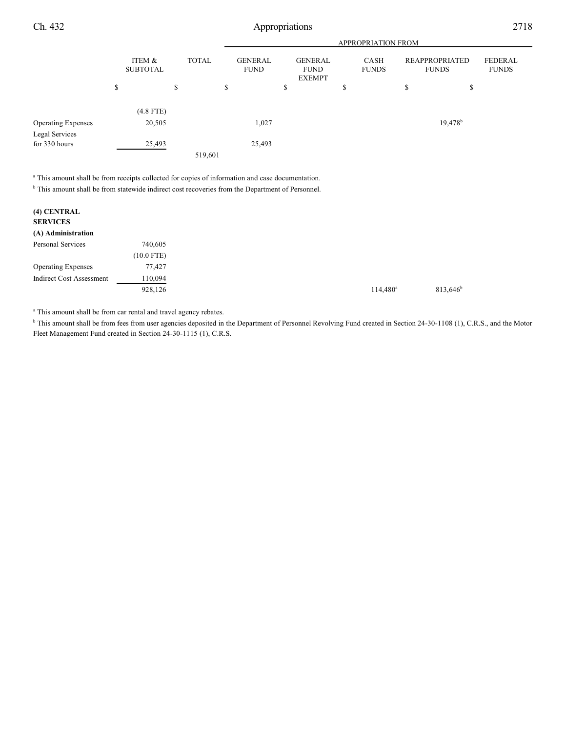Ch. 432 Appropriations 2718

|                           |    |                           |    |         |              |                               | <b>APPROPRIATION FROM</b>                      |                      |                                       |  |                                |
|---------------------------|----|---------------------------|----|---------|--------------|-------------------------------|------------------------------------------------|----------------------|---------------------------------------|--|--------------------------------|
|                           |    | ITEM &<br><b>SUBTOTAL</b> |    |         | <b>TOTAL</b> | <b>GENERAL</b><br><b>FUND</b> | <b>GENERAL</b><br><b>FUND</b><br><b>EXEMPT</b> | CASH<br><b>FUNDS</b> | <b>REAPPROPRIATED</b><br><b>FUNDS</b> |  | <b>FEDERAL</b><br><b>FUNDS</b> |
|                           | \$ |                           | \$ |         | \$           | \$                            | \$                                             | \$                   | \$                                    |  |                                |
|                           |    | $(4.8$ FTE)               |    |         |              |                               |                                                |                      |                                       |  |                                |
| <b>Operating Expenses</b> |    | 20,505                    |    |         | 1,027        |                               |                                                |                      | $19,478$ <sup>b</sup>                 |  |                                |
| Legal Services            |    |                           |    |         |              |                               |                                                |                      |                                       |  |                                |
| for 330 hours             |    | 25,493                    |    |         | 25,493       |                               |                                                |                      |                                       |  |                                |
|                           |    |                           |    | 519,601 |              |                               |                                                |                      |                                       |  |                                |

<sup>a</sup> This amount shall be from receipts collected for copies of information and case documentation.

<sup>b</sup> This amount shall be from statewide indirect cost recoveries from the Department of Personnel.

| (4) CENTRAL<br><b>SERVICES</b>  |              |
|---------------------------------|--------------|
| (A) Administration              |              |
| Personal Services               | 740,605      |
|                                 | $(10.0$ FTE) |
| <b>Operating Expenses</b>       | 77,427       |
| <b>Indirect Cost Assessment</b> | 110,094      |
|                                 | 928,126      |

 $^{\circ}$  This amount shall be from car rental and travel agency rebates.

<sup>b</sup> This amount shall be from fees from user agencies deposited in the Department of Personnel Revolving Fund created in Section 24-30-1108 (1), C.R.S., and the Motor Fleet Management Fund created in Section 24-30-1115 (1), C.R.S.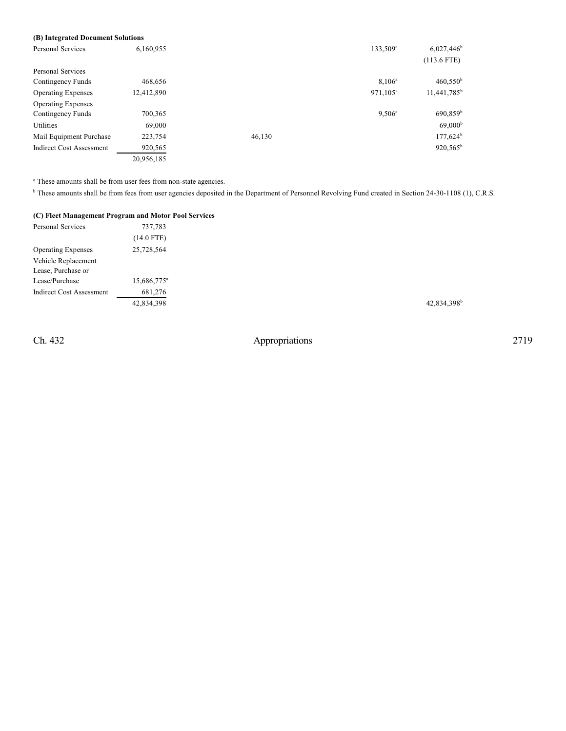## **(B) Integrated Document Solutions**

| <b>Personal Services</b>        | 6,160,955  |        | 133,509 <sup>a</sup> | $6,027,446$ <sup>b</sup> |
|---------------------------------|------------|--------|----------------------|--------------------------|
|                                 |            |        |                      | $(113.6$ FTE)            |
| Personal Services               |            |        |                      |                          |
| Contingency Funds               | 468,656    |        | $8,106^{\rm a}$      | $460,550^{\rm b}$        |
| <b>Operating Expenses</b>       | 12,412,890 |        | 971,105 <sup>a</sup> | 11,441,785 <sup>b</sup>  |
| <b>Operating Expenses</b>       |            |        |                      |                          |
| Contingency Funds               | 700,365    |        | $9,506^{\circ}$      | 690,859 <sup>b</sup>     |
| Utilities                       | 69,000     |        |                      | 69,000 <sup>b</sup>      |
| Mail Equipment Purchase         | 223,754    | 46,130 |                      | $177,624^b$              |
| <b>Indirect Cost Assessment</b> | 920,565    |        |                      | $920,565^b$              |
|                                 | 20,956,185 |        |                      |                          |

 $^{\circ}$  These amounts shall be from user fees from non-state agencies.

<sup>b</sup> These amounts shall be from fees from user agencies deposited in the Department of Personnel Revolving Fund created in Section 24-30-1108 (1), C.R.S.

## **(C) Fleet Management Program and Motor Pool Services**

| Personal Services               | 737,783                 |
|---------------------------------|-------------------------|
|                                 | $(14.0$ FTE)            |
| <b>Operating Expenses</b>       | 25,728,564              |
| Vehicle Replacement             |                         |
| Lease, Purchase or              |                         |
| Lease/Purchase                  | 15,686,775 <sup>a</sup> |
| <b>Indirect Cost Assessment</b> | 681,276                 |
|                                 | 42,834,398              |
|                                 |                         |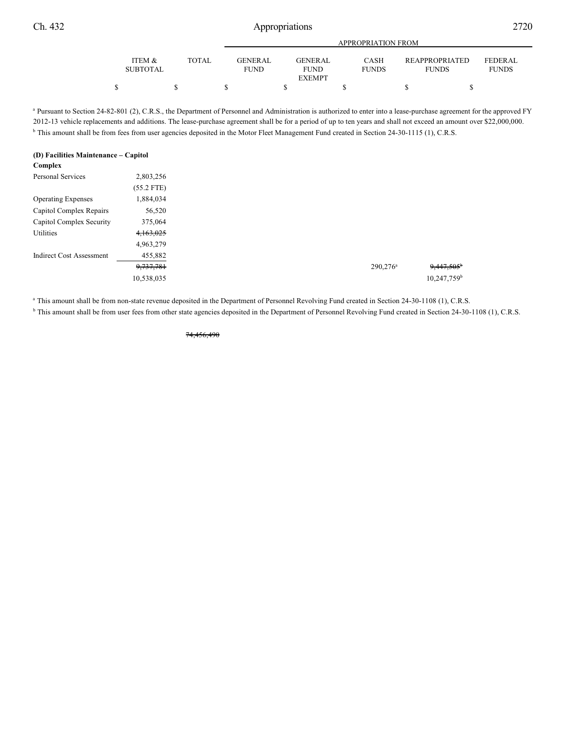| Ch. 432 |                           |       |                        | Appropriations                                 |                             |                                |                                |  |  |  |
|---------|---------------------------|-------|------------------------|------------------------------------------------|-----------------------------|--------------------------------|--------------------------------|--|--|--|
|         |                           |       |                        |                                                |                             |                                |                                |  |  |  |
|         | ITEM &<br><b>SUBTOTAL</b> | TOTAL | GENERAL<br><b>FUND</b> | <b>GENERAL</b><br><b>FUND</b><br><b>EXEMPT</b> | <b>CASH</b><br><b>FUNDS</b> | REAPPROPRIATED<br><b>FUNDS</b> | <b>FEDERAL</b><br><b>FUNDS</b> |  |  |  |

<sup>a</sup> Pursuant to Section 24-82-801 (2), C.R.S., the Department of Personnel and Administration is authorized to enter into a lease-purchase agreement for the approved FY 2012-13 vehicle replacements and additions. The lease-purchase agreement shall be for a period of up to ten years and shall not exceed an amount over \$22,000,000. <sup>b</sup> This amount shall be from fees from user agencies deposited in the Motor Fleet Management Fund created in Section 24-30-1115 (1), C.R.S.

 $\begin{array}{ccccccccccc} \texttt{S} & \texttt{S} & \texttt{S} & \texttt{S} & \texttt{S} & \texttt{S} & \texttt{S} & \texttt{S} & \texttt{S} & \texttt{S} & \texttt{S} & \texttt{S} & \texttt{S} & \texttt{S} & \texttt{S} & \texttt{S} & \texttt{S} & \texttt{S} & \texttt{S} & \texttt{S} & \texttt{S} & \texttt{S} & \texttt{S} & \texttt{S} & \texttt{S} & \texttt{S} & \texttt{S} & \texttt{S} & \texttt{S} & \texttt{S} & \$ 

#### **(D) Facilities Maintenance – Capitol Complex**

| $\sim$ prox                     |              |
|---------------------------------|--------------|
| <b>Personal Services</b>        | 2,803,256    |
|                                 | $(55.2$ FTE) |
| <b>Operating Expenses</b>       | 1,884,034    |
| Capitol Complex Repairs         | 56,520       |
| Capitol Complex Security        | 375,064      |
| Utilities                       | 4,163,025    |
|                                 | 4,963,279    |
| <b>Indirect Cost Assessment</b> | 455,882      |
|                                 | 9,737,781    |
|                                 | 10,538,035   |
|                                 |              |

<sup>a</sup> This amount shall be from non-state revenue deposited in the Department of Personnel Revolving Fund created in Section 24-30-1108 (1), C.R.S.

<sup>b</sup> This amount shall be from user fees from other state agencies deposited in the Department of Personnel Revolving Fund created in Section 24-30-1108 (1), C.R.S.

74,456,490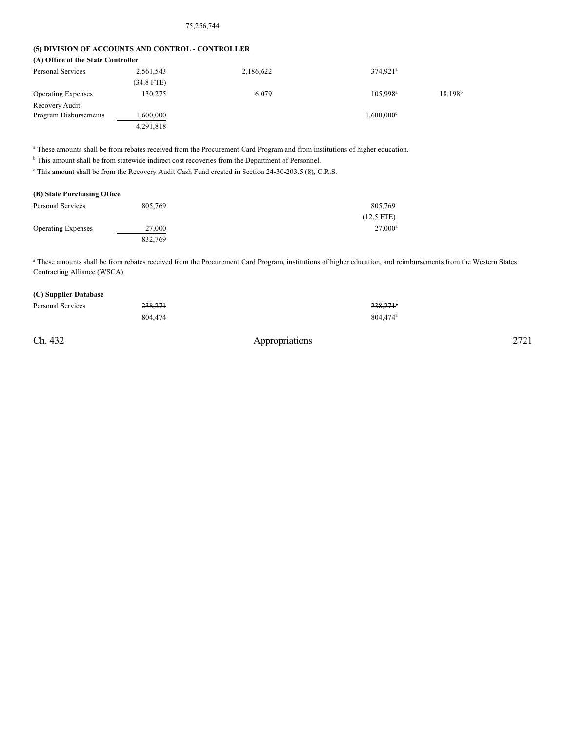#### 75,256,744

### **(5) DIVISION OF ACCOUNTS AND CONTROL - CONTROLLER**

| (A) Office of the State Controller |            |           |                          |                  |
|------------------------------------|------------|-----------|--------------------------|------------------|
| Personal Services                  | 2,561,543  | 2,186,622 | $374,921$ <sup>a</sup>   |                  |
|                                    | (34.8 FTE) |           |                          |                  |
| <b>Operating Expenses</b>          | 130,275    | 6.079     | $105.998^{\text{a}}$     | $18,198^{\rm b}$ |
| Recovery Audit                     |            |           |                          |                  |
| Program Disbursements              | 1,600,000  |           | $1,600,000$ <sup>c</sup> |                  |
|                                    | 4,291,818  |           |                          |                  |

<sup>a</sup> These amounts shall be from rebates received from the Procurement Card Program and from institutions of higher education.

<sup>b</sup> This amount shall be from statewide indirect cost recoveries from the Department of Personnel.

<sup>c</sup> This amount shall be from the Recovery Audit Cash Fund created in Section 24-30-203.5 (8), C.R.S.

### **(B) State Purchasing Office**

| Personal Services         | 805.769 | 805,769 <sup>a</sup> |
|---------------------------|---------|----------------------|
|                           |         | $(12.5$ FTE)         |
| <b>Operating Expenses</b> | 27,000  | $27,000^a$           |
|                           | 832.769 |                      |

a These amounts shall be from rebates received from the Procurement Card Program, institutions of higher education, and reimbursements from the Western States Contracting Alliance (WSCA).

### **(C) Supplier Database**

| Personal Services | <del>238,271</del> | $238,271^{\circ}$    |
|-------------------|--------------------|----------------------|
|                   | 804,474            | 804.474 <sup>a</sup> |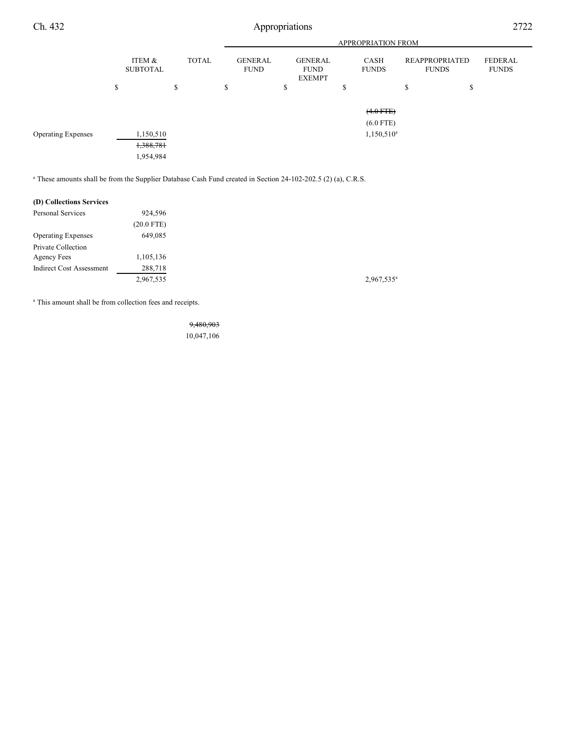Ch. 432 Appropriations 2722

|                           | <b>APPROPRIATION FROM</b> |    |              |    |                               |    |                                                |         |                            |                                       |  |          |                                |
|---------------------------|---------------------------|----|--------------|----|-------------------------------|----|------------------------------------------------|---------|----------------------------|---------------------------------------|--|----------|--------------------------------|
|                           | ITEM &<br><b>SUBTOTAL</b> |    | <b>TOTAL</b> |    | <b>GENERAL</b><br><b>FUND</b> |    | <b>GENERAL</b><br><b>FUND</b><br><b>EXEMPT</b> |         | CASH<br><b>FUNDS</b>       | <b>REAPPROPRIATED</b><br><b>FUNDS</b> |  |          | <b>FEDERAL</b><br><b>FUNDS</b> |
|                           | \$                        | \$ |              | \$ |                               | \$ |                                                | ch<br>ъ |                            | <sup>\$</sup>                         |  | ــه<br>Ф |                                |
|                           |                           |    |              |    |                               |    |                                                |         | $(4.0$ FTE)<br>$(6.0$ FTE) |                                       |  |          |                                |
| <b>Operating Expenses</b> | 1,150,510<br>1,388,781    |    |              |    |                               |    |                                                |         | $1,150,510^a$              |                                       |  |          |                                |
|                           | 1,954,984                 |    |              |    |                               |    |                                                |         |                            |                                       |  |          |                                |

<sup>a</sup> These amounts shall be from the Supplier Database Cash Fund created in Section 24-102-202.5 (2) (a), C.R.S.

#### **(D) Collections Services**

| <b>Personal Services</b>        | 924,596      |
|---------------------------------|--------------|
|                                 | $(20.0$ FTE) |
| <b>Operating Expenses</b>       | 649,085      |
| Private Collection              |              |
| Agency Fees                     | 1,105,136    |
| <b>Indirect Cost Assessment</b> | 288,718      |
|                                 | 2,967,535    |
|                                 |              |

<sup>a</sup> This amount shall be from collection fees and receipts.

9,480,903 10,047,106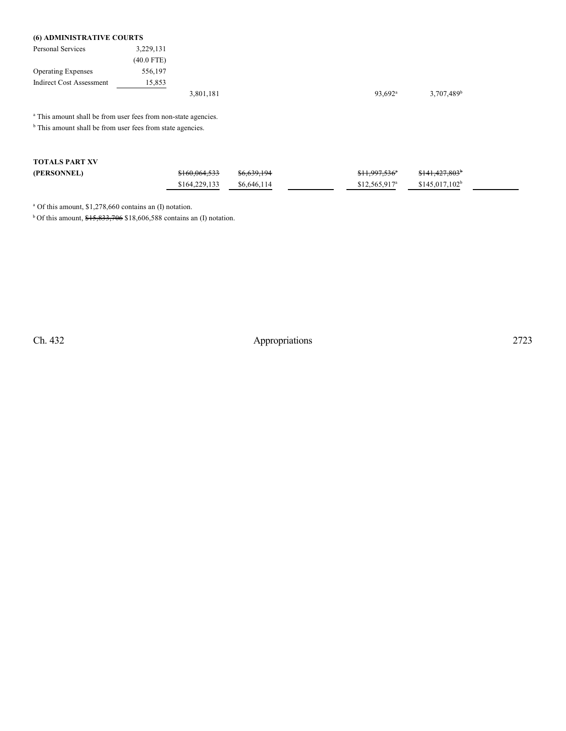## **(6) ADMINISTRATIVE COURTS**

| Personal Services         | 3,229,131    |           |  |                  |                          |
|---------------------------|--------------|-----------|--|------------------|--------------------------|
|                           | $(40.0$ FTE) |           |  |                  |                          |
| <b>Operating Expenses</b> | 556,197      |           |  |                  |                          |
| Indirect Cost Assessment  | 15,853       |           |  |                  |                          |
|                           |              | 3,801,181 |  | $93.692^{\circ}$ | $3,707,489$ <sup>t</sup> |

<sup>a</sup> This amount shall be from user fees from non-state agencies.

 $<sup>b</sup>$  This amount shall be from user fees from state agencies.</sup>

| <b>TOTALS PART XV</b> |                          |                        |                           |                            |
|-----------------------|--------------------------|------------------------|---------------------------|----------------------------|
| (PERSONNEL)           | <del>\$160,064,533</del> | <del>\$6,639,194</del> | <del>\$11,997,536</del> ° | \$141,427,803 <sup>b</sup> |
|                       | \$164,229,133            | \$6,646,114            | $$12.565.917^a$           | $$145.017.102^b$           |

<sup>a</sup> Of this amount, \$1,278,660 contains an (I) notation.

<sup>b</sup> Of this amount,  $$15,833,706$  \$18,606,588 contains an (I) notation.